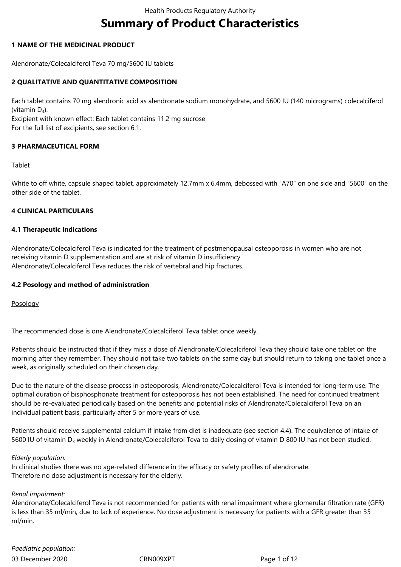# **Summary of Product Characteristics**

## **1 NAME OF THE MEDICINAL PRODUCT**

Alendronate/Colecalciferol Teva 70 mg/5600 IU tablets

## **2 QUALITATIVE AND QUANTITATIVE COMPOSITION**

Each tablet contains 70 mg alendronic acid as alendronate sodium monohydrate, and 5600 IU (140 micrograms) colecalciferol (vitamin  $D_3$ ).

Excipient with known effect: Each tablet contains 11.2 mg sucrose For the full list of excipients, see section 6.1.

## **3 PHARMACEUTICAL FORM**

#### Tablet

White to off white, capsule shaped tablet, approximately 12.7mm x 6.4mm, debossed with "A70" on one side and "5600" on the other side of the tablet.

#### **4 CLINICAL PARTICULARS**

#### **4.1 Therapeutic Indications**

Alendronate/Colecalciferol Teva is indicated for the treatment of postmenopausal osteoporosis in women who are not receiving vitamin D supplementation and are at risk of vitamin D insufficiency. Alendronate/Colecalciferol Teva reduces the risk of vertebral and hip fractures.

#### **4.2 Posology and method of administration**

Posology

The recommended dose is one Alendronate/Colecalciferol Teva tablet once weekly.

Patients should be instructed that if they miss a dose of Alendronate/Colecalciferol Teva they should take one tablet on the morning after they remember. They should not take two tablets on the same day but should return to taking one tablet once a week, as originally scheduled on their chosen day.

Due to the nature of the disease process in osteoporosis, Alendronate/Colecalciferol Teva is intended for long-term use. The optimal duration of bisphosphonate treatment for osteoporosis has not been established. The need for continued treatment should be re-evaluated periodically based on the benefits and potential risks of Alendronate/Colecalciferol Teva on an individual patient basis, particularly after 5 or more years of use.

Patients should receive supplemental calcium if intake from diet is inadequate (see section 4.4). The equivalence of intake of 5600 IU of vitamin D<sub>3</sub> weekly in Alendronate/Colecalciferol Teva to daily dosing of vitamin D 800 IU has not been studied.

#### *Elderly population:*

In clinical studies there was no age-related difference in the efficacy or safety profiles of alendronate. Therefore no dose adjustment is necessary for the elderly.

#### *Renal impairment:*

Alendronate/Colecalciferol Teva is not recommended for patients with renal impairment where glomerular filtration rate (GFR) is less than 35 ml/min, due to lack of experience. No dose adjustment is necessary for patients with a GFR greater than 35 ml/min.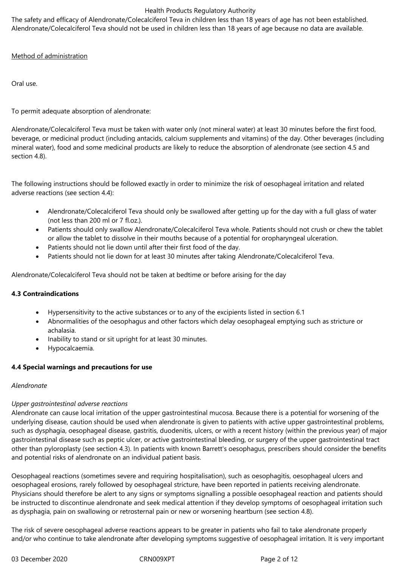The safety and efficacy of Alendronate/Colecalciferol Teva in children less than 18 years of age has not been established. Alendronate/Colecalciferol Teva should not be used in children less than 18 years of age because no data are available.

# Method of administration

Oral use.

# To permit adequate absorption of alendronate:

Alendronate/Colecalciferol Teva must be taken with water only (not mineral water) at least 30 minutes before the first food, beverage, or medicinal product (including antacids, calcium supplements and vitamins) of the day. Other beverages (including mineral water), food and some medicinal products are likely to reduce the absorption of alendronate (see section 4.5 and section 4.8).

The following instructions should be followed exactly in order to minimize the risk of oesophageal irritation and related adverse reactions (see section 4.4):

- Alendronate/Colecalciferol Teva should only be swallowed after getting up for the day with a full glass of water (not less than 200 ml or 7 fl.oz.).
- Patients should only swallow Alendronate/Colecalciferol Teva whole. Patients should not crush or chew the tablet or allow the tablet to dissolve in their mouths because of a potential for oropharyngeal ulceration.
- Patients should not lie down until after their first food of the day.
- Patients should not lie down for at least 30 minutes after taking Alendronate/Colecalciferol Teva.

Alendronate/Colecalciferol Teva should not be taken at bedtime or before arising for the day

# **4.3 Contraindications**

- Hypersensitivity to the active substances or to any of the excipients listed in section 6.1
- Abnormalities of the oesophagus and other factors which delay oesophageal emptying such as stricture or achalasia.
- Inability to stand or sit upright for at least 30 minutes.
- Hypocalcaemia.

# **4.4 Special warnings and precautions for use**

# *Alendronate*

# *Upper gastrointestinal adverse reactions*

Alendronate can cause local irritation of the upper gastrointestinal mucosa. Because there is a potential for worsening of the underlying disease, caution should be used when alendronate is given to patients with active upper gastrointestinal problems, such as dysphagia, oesophageal disease, gastritis, duodenitis, ulcers, or with a recent history (within the previous year) of major gastrointestinal disease such as peptic ulcer, or active gastrointestinal bleeding, or surgery of the upper gastrointestinal tract other than pyloroplasty (see section 4.3). In patients with known Barrett's oesophagus, prescribers should consider the benefits and potential risks of alendronate on an individual patient basis.

Oesophageal reactions (sometimes severe and requiring hospitalisation), such as oesophagitis, oesophageal ulcers and oesophageal erosions, rarely followed by oesophageal stricture, have been reported in patients receiving alendronate. Physicians should therefore be alert to any signs or symptoms signalling a possible oesophageal reaction and patients should be instructed to discontinue alendronate and seek medical attention if they develop symptoms of oesophageal irritation such as dysphagia, pain on swallowing or retrosternal pain or new or worsening heartburn (see section 4.8).

The risk of severe oesophageal adverse reactions appears to be greater in patients who fail to take alendronate properly and/or who continue to take alendronate after developing symptoms suggestive of oesophageal irritation. It is very important

03 December 2020 CRN009XPT Page 2 of 12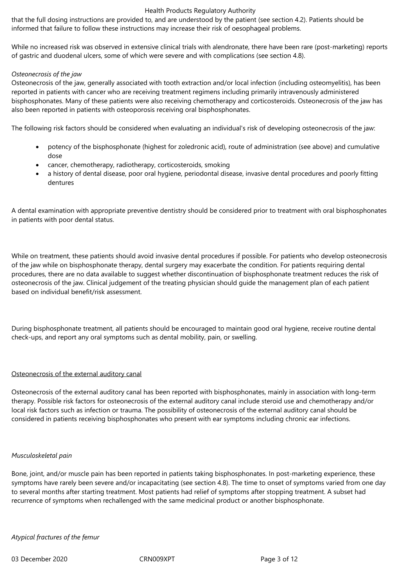that the full dosing instructions are provided to, and are understood by the patient (see section 4.2). Patients should be informed that failure to follow these instructions may increase their risk of oesophageal problems.

While no increased risk was observed in extensive clinical trials with alendronate, there have been rare (post-marketing) reports of gastric and duodenal ulcers, some of which were severe and with complications (see section 4.8).

#### *Osteonecrosis of the jaw*

Osteonecrosis of the jaw, generally associated with tooth extraction and/or local infection (including osteomyelitis), has been reported in patients with cancer who are receiving treatment regimens including primarily intravenously administered bisphosphonates. Many of these patients were also receiving chemotherapy and corticosteroids. Osteonecrosis of the jaw has also been reported in patients with osteoporosis receiving oral bisphosphonates.

The following risk factors should be considered when evaluating an individual's risk of developing osteonecrosis of the jaw:

- potency of the bisphosphonate (highest for zoledronic acid), route of administration (see above) and cumulative dose
- cancer, chemotherapy, radiotherapy, corticosteroids, smoking
- a history of dental disease, poor oral hygiene, periodontal disease, invasive dental procedures and poorly fitting dentures

A dental examination with appropriate preventive dentistry should be considered prior to treatment with oral bisphosphonates in patients with poor dental status.

While on treatment, these patients should avoid invasive dental procedures if possible. For patients who develop osteonecrosis of the jaw while on bisphosphonate therapy, dental surgery may exacerbate the condition. For patients requiring dental procedures, there are no data available to suggest whether discontinuation of bisphosphonate treatment reduces the risk of osteonecrosis of the jaw. Clinical judgement of the treating physician should guide the management plan of each patient based on individual benefit/risk assessment.

During bisphosphonate treatment, all patients should be encouraged to maintain good oral hygiene, receive routine dental check-ups, and report any oral symptoms such as dental mobility, pain, or swelling.

#### Osteonecrosis of the external auditory canal

Osteonecrosis of the external auditory canal has been reported with bisphosphonates, mainly in association with long-term therapy. Possible risk factors for osteonecrosis of the external auditory canal include steroid use and chemotherapy and/or local risk factors such as infection or trauma. The possibility of osteonecrosis of the external auditory canal should be considered in patients receiving bisphosphonates who present with ear symptoms including chronic ear infections.

#### *Musculoskeletal pain*

Bone, joint, and/or muscle pain has been reported in patients taking bisphosphonates. In post-marketing experience, these symptoms have rarely been severe and/or incapacitating (see section 4.8). The time to onset of symptoms varied from one day to several months after starting treatment. Most patients had relief of symptoms after stopping treatment. A subset had recurrence of symptoms when rechallenged with the same medicinal product or another bisphosphonate.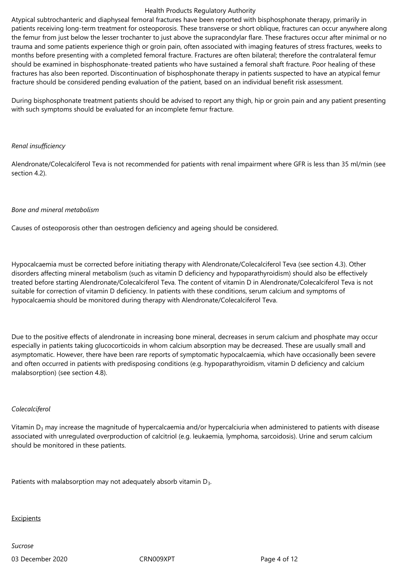Atypical subtrochanteric and diaphyseal femoral fractures have been reported with bisphosphonate therapy, primarily in patients receiving long-term treatment for osteoporosis. These transverse or short oblique, fractures can occur anywhere along the femur from just below the lesser trochanter to just above the supracondylar flare. These fractures occur after minimal or no trauma and some patients experience thigh or groin pain, often associated with imaging features of stress fractures, weeks to months before presenting with a completed femoral fracture. Fractures are often bilateral; therefore the contralateral femur should be examined in bisphosphonate-treated patients who have sustained a femoral shaft fracture. Poor healing of these fractures has also been reported. Discontinuation of bisphosphonate therapy in patients suspected to have an atypical femur fracture should be considered pending evaluation of the patient, based on an individual benefit risk assessment.

During bisphosphonate treatment patients should be advised to report any thigh, hip or groin pain and any patient presenting with such symptoms should be evaluated for an incomplete femur fracture.

#### *Renal insufficiency*

Alendronate/Colecalciferol Teva is not recommended for patients with renal impairment where GFR is less than 35 ml/min (see section 4.2).

#### *Bone and mineral metabolism*

Causes of osteoporosis other than oestrogen deficiency and ageing should be considered.

Hypocalcaemia must be corrected before initiating therapy with Alendronate/Colecalciferol Teva (see section 4.3). Other disorders affecting mineral metabolism (such as vitamin D deficiency and hypoparathyroidism) should also be effectively treated before starting Alendronate/Colecalciferol Teva. The content of vitamin D in Alendronate/Colecalciferol Teva is not suitable for correction of vitamin D deficiency. In patients with these conditions, serum calcium and symptoms of hypocalcaemia should be monitored during therapy with Alendronate/Colecalciferol Teva.

Due to the positive effects of alendronate in increasing bone mineral, decreases in serum calcium and phosphate may occur especially in patients taking glucocorticoids in whom calcium absorption may be decreased. These are usually small and asymptomatic. However, there have been rare reports of symptomatic hypocalcaemia, which have occasionally been severe and often occurred in patients with predisposing conditions (e.g. hypoparathyroidism, vitamin D deficiency and calcium malabsorption) (see section 4.8).

# *Colecalciferol*

Vitamin  $D_3$  may increase the magnitude of hypercalcaemia and/or hypercalciuria when administered to patients with disease associated with unregulated overproduction of calcitriol (e.g. leukaemia, lymphoma, sarcoidosis). Urine and serum calcium should be monitored in these patients.

Patients with malabsorption may not adequately absorb vitamin  $D_3$ .

**Excipients** 

03 December 2020 CRN009XPT Page 4 of 12 *Sucrose*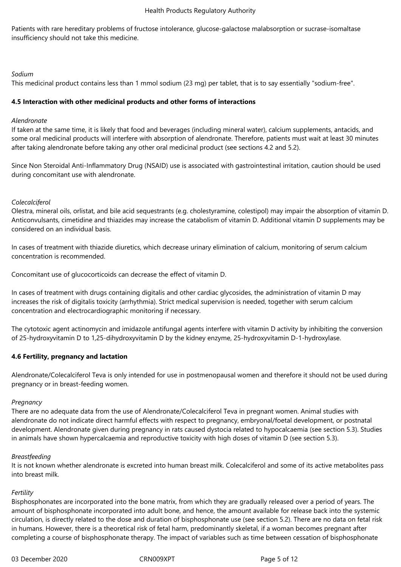Patients with rare hereditary problems of fructose intolerance, glucose-galactose malabsorption or sucrase-isomaltase insufficiency should not take this medicine.

## *Sodium*

This medicinal product contains less than 1 mmol sodium (23 mg) per tablet, that is to say essentially "sodium-free".

## **4.5 Interaction with other medicinal products and other forms of interactions**

## *Alendronate*

If taken at the same time, it is likely that food and beverages (including mineral water), calcium supplements, antacids, and some oral medicinal products will interfere with absorption of alendronate. Therefore, patients must wait at least 30 minutes after taking alendronate before taking any other oral medicinal product (see sections 4.2 and 5.2).

Since Non Steroidal Anti-Inflammatory Drug (NSAID) use is associated with gastrointestinal irritation, caution should be used during concomitant use with alendronate.

# *Colecalciferol*

Olestra, mineral oils, orlistat, and bile acid sequestrants (e.g. cholestyramine, colestipol) may impair the absorption of vitamin D. Anticonvulsants, cimetidine and thiazides may increase the catabolism of vitamin D. Additional vitamin D supplements may be considered on an individual basis.

In cases of treatment with thiazide diuretics, which decrease urinary elimination of calcium, monitoring of serum calcium concentration is recommended.

Concomitant use of glucocorticoids can decrease the effect of vitamin D.

In cases of treatment with drugs containing digitalis and other cardiac glycosides, the administration of vitamin D may increases the risk of digitalis toxicity (arrhythmia). Strict medical supervision is needed, together with serum calcium concentration and electrocardiographic monitoring if necessary.

The cytotoxic agent actinomycin and imidazole antifungal agents interfere with vitamin D activity by inhibiting the conversion of 25-hydroxyvitamin D to 1,25-dihydroxyvitamin D by the kidney enzyme, 25-hydroxyvitamin D-1-hydroxylase.

# **4.6 Fertility, pregnancy and lactation**

Alendronate/Colecalciferol Teva is only intended for use in postmenopausal women and therefore it should not be used during pregnancy or in breast-feeding women.

#### *Pregnancy*

There are no adequate data from the use of Alendronate/Colecalciferol Teva in pregnant women. Animal studies with alendronate do not indicate direct harmful effects with respect to pregnancy, embryonal/foetal development, or postnatal development. Alendronate given during pregnancy in rats caused dystocia related to hypocalcaemia (see section 5.3). Studies in animals have shown hypercalcaemia and reproductive toxicity with high doses of vitamin D (see section 5.3).

#### *Breastfeeding*

It is not known whether alendronate is excreted into human breast milk. Colecalciferol and some of its active metabolites pass into breast milk.

# *Fertility*

Bisphosphonates are incorporated into the bone matrix, from which they are gradually released over a period of years. The amount of bisphosphonate incorporated into adult bone, and hence, the amount available for release back into the systemic circulation, is directly related to the dose and duration of bisphosphonate use (see section 5.2). There are no data on fetal risk in humans. However, there is a theoretical risk of fetal harm, predominantly skeletal, if a woman becomes pregnant after completing a course of bisphosphonate therapy. The impact of variables such as time between cessation of bisphosphonate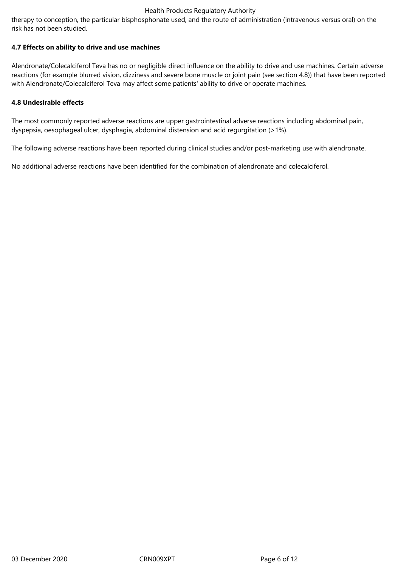therapy to conception, the particular bisphosphonate used, and the route of administration (intravenous versus oral) on the risk has not been studied.

## **4.7 Effects on ability to drive and use machines**

Alendronate/Colecalciferol Teva has no or negligible direct influence on the ability to drive and use machines. Certain adverse reactions (for example blurred vision, dizziness and severe bone muscle or joint pain (see section 4.8)) that have been reported with Alendronate/Colecalciferol Teva may affect some patients' ability to drive or operate machines.

## **4.8 Undesirable effects**

The most commonly reported adverse reactions are upper gastrointestinal adverse reactions including abdominal pain, dyspepsia, oesophageal ulcer, dysphagia, abdominal distension and acid regurgitation (>1%).

The following adverse reactions have been reported during clinical studies and/or post-marketing use with alendronate.

No additional adverse reactions have been identified for the combination of alendronate and colecalciferol.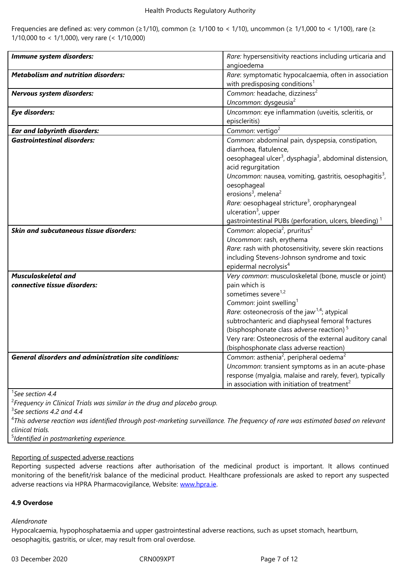| Immune system disorders:                                     | Rare: hypersensitivity reactions including urticaria and                        |
|--------------------------------------------------------------|---------------------------------------------------------------------------------|
|                                                              | angioedema                                                                      |
| <b>Metabolism and nutrition disorders:</b>                   | Rare: symptomatic hypocalcaemia, often in association                           |
|                                                              | with predisposing conditions <sup>1</sup>                                       |
| Nervous system disorders:                                    | Common: headache, dizziness <sup>2</sup>                                        |
|                                                              | Uncommon: dysgeusia <sup>2</sup>                                                |
| <b>Eye disorders:</b>                                        | Uncommon: eye inflammation (uveitis, scleritis, or                              |
|                                                              | episcleritis)                                                                   |
| <b>Ear and labyrinth disorders:</b>                          | Common: vertigo <sup>2</sup>                                                    |
| <b>Gastrointestinal disorders:</b>                           | Common: abdominal pain, dyspepsia, constipation,                                |
|                                                              | diarrhoea, flatulence,                                                          |
|                                                              | oesophageal ulcer <sup>3</sup> , dysphagia <sup>3</sup> , abdominal distension, |
|                                                              | acid regurgitation                                                              |
|                                                              | Uncommon: nausea, vomiting, gastritis, oesophagitis <sup>3</sup> ,              |
|                                                              | oesophageal                                                                     |
|                                                              | erosions <sup>3</sup> , melena <sup>2</sup>                                     |
|                                                              | Rare: oesophageal stricture <sup>3</sup> , oropharyngeal                        |
|                                                              | ulceration $3$ , upper                                                          |
|                                                              | gastrointestinal PUBs (perforation, ulcers, bleeding) <sup>1</sup>              |
| <b>Skin and subcutaneous tissue disorders:</b>               | Common: alopecia <sup>2</sup> , pruritus <sup>2</sup>                           |
|                                                              | Uncommon: rash, erythema                                                        |
|                                                              | Rare: rash with photosensitivity, severe skin reactions                         |
|                                                              | including Stevens-Johnson syndrome and toxic                                    |
|                                                              | epidermal necrolysis <sup>4</sup>                                               |
| <b>Musculoskeletal and</b>                                   | Very common: musculoskeletal (bone, muscle or joint)                            |
| connective tissue disorders:                                 | pain which is                                                                   |
|                                                              | sometimes severe <sup>1,2</sup>                                                 |
|                                                              | Common: joint swelling <sup>1</sup>                                             |
|                                                              | <i>Rare:</i> osteonecrosis of the jaw <sup>1,4</sup> ; atypical                 |
|                                                              | subtrochanteric and diaphyseal femoral fractures                                |
|                                                              | (bisphosphonate class adverse reaction) <sup>5</sup>                            |
|                                                              | Very rare: Osteonecrosis of the external auditory canal                         |
|                                                              | (bisphosphonate class adverse reaction)                                         |
| <b>General disorders and administration site conditions:</b> | Common: asthenia <sup>2</sup> , peripheral oedema <sup>2</sup>                  |
|                                                              | Uncommon: transient symptoms as in an acute-phase                               |
|                                                              | response (myalgia, malaise and rarely, fever), typically                        |
|                                                              | in association with initiation of treatment <sup>2</sup>                        |

1 *See section 4.4*

2 *Frequency in Clinical Trials was similar in the drug and placebo group.*

3 *See sections 4.2 and 4.4*

4 *This adverse reaction was identified through post-marketing surveillance. The frequency of rare was estimated based on relevant clinical trials.*

5 *Identified in postmarketing experience.*

# Reporting of suspected adverse reactions

Reporting suspected adverse reactions after authorisation of the medicinal product is important. It allows continued monitoring of the benefit/risk balance of the medicinal product. Healthcare professionals are asked to report any suspected adverse reactions via HPRA Pharmacovigilance, Website: www.hpra.ie.

# **4.9 Overdose**

*Alendronate*

Hypocalcaemia, hypophosphataemia and upper gastrointestinal adverse reactions, such as upset stomach, heartburn, oesophagitis, gastritis, or ulcer, may result from oral overdose.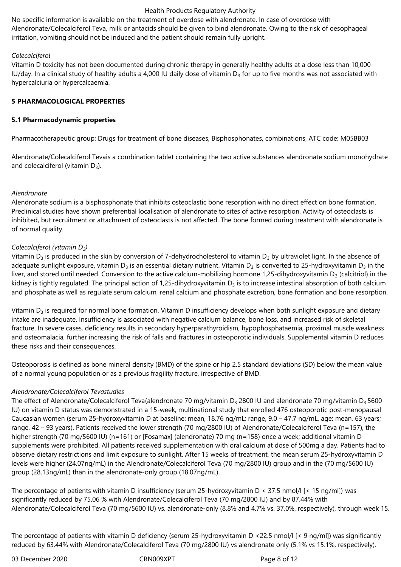No specific information is available on the treatment of overdose with alendronate. In case of overdose with Alendronate/Colecalciferol Teva, milk or antacids should be given to bind alendronate. Owing to the risk of oesophageal irritation, vomiting should not be induced and the patient should remain fully upright.

## *Colecalciferol*

Vitamin D toxicity has not been documented during chronic therapy in generally healthy adults at a dose less than 10,000 IU/day. In a clinical study of healthy adults a 4,000 IU daily dose of vitamin  $D_3$  for up to five months was not associated with hypercalciuria or hypercalcaemia.

## **5 PHARMACOLOGICAL PROPERTIES**

## **5.1 Pharmacodynamic properties**

Pharmacotherapeutic group: Drugs for treatment of bone diseases, Bisphosphonates, combinations, ATC code: M05BB03

Alendronate/Colecalciferol Tevais a combination tablet containing the two active substances alendronate sodium monohydrate and colecalciferol (vitamin  $D_3$ ).

## *Alendronate*

Alendronate sodium is a bisphosphonate that inhibits osteoclastic bone resorption with no direct effect on bone formation. Preclinical studies have shown preferential localisation of alendronate to sites of active resorption. Activity of osteoclasts is inhibited, but recruitment or attachment of osteoclasts is not affected. The bone formed during treatment with alendronate is of normal quality.

# *Colecalciferol (vitamin D3)*

Vitamin  $D_3$  is produced in the skin by conversion of 7-dehydrocholesterol to vitamin  $D_3$  by ultraviolet light. In the absence of adequate sunlight exposure, vitamin  $D_3$  is an essential dietary nutrient. Vitamin  $D_3$  is converted to 25-hydroxyvitamin  $D_3$  in the liver, and stored until needed. Conversion to the active calcium-mobilizing hormone 1,25-dihydroxyvitamin  $D_3$  (calcitriol) in the kidney is tightly regulated. The principal action of 1,25-dihydroxyvitamin  $D_3$  is to increase intestinal absorption of both calcium and phosphate as well as regulate serum calcium, renal calcium and phosphate excretion, bone formation and bone resorption.

Vitamin  $D_3$  is required for normal bone formation. Vitamin D insufficiency develops when both sunlight exposure and dietary intake are inadequate. Insufficiency is associated with negative calcium balance, bone loss, and increased risk of skeletal fracture. In severe cases, deficiency results in secondary hyperparathyroidism, hypophosphataemia, proximal muscle weakness and osteomalacia, further increasing the risk of falls and fractures in osteoporotic individuals. Supplemental vitamin D reduces these risks and their consequences.

Osteoporosis is defined as bone mineral density (BMD) of the spine or hip 2.5 standard deviations (SD) below the mean value of a normal young population or as a previous fragility fracture, irrespective of BMD.

# *Alendronate/Colecalciferol Tevastudies*

The effect of Alendronate/Colecalciferol Teva(alendronate 70 mg/vitamin D<sub>3</sub> 2800 IU and alendronate 70 mg/vitamin D<sub>3</sub> 5600 IU) on vitamin D status was demonstrated in a 15-week, multinational study that enrolled 476 osteoporotic post-menopausal Caucasian women (serum 25-hydroxyvitamin D at baseline: mean, 18.76 ng/mL; range, 9.0 – 47.7 ng/mL, age: mean, 63 years; range, 42 – 93 years). Patients received the lower strength (70 mg/2800 IU) of Alendronate/Colecalciferol Teva (n=157), the higher strength (70 mg/5600 IU) (n=161) or [Fosamax] (alendronate) 70 mg (n=158) once a week; additional vitamin D supplements were prohibited. All patients received supplementation with oral calcium at dose of 500mg a day. Patients had to observe dietary restrictions and limit exposure to sunlight. After 15 weeks of treatment, the mean serum 25-hydroxyvitamin D levels were higher (24.07ng/mL) in the Alendronate/Colecalciferol Teva (70 mg/2800 IU) group and in the (70 mg/5600 IU) group (28.13ng/mL) than in the alendronate-only group (18.07ng/mL).

The percentage of patients with vitamin D insufficiency (serum 25-hydroxyvitamin D < 37.5 nmol/l [< 15 ng/ml]) was significantly reduced by 75.06 % with Alendronate/Colecalciferol Teva (70 mg/2800 IU) and by 87.44% with Alendronate/Colecalciferol Teva (70 mg/5600 IU) vs. alendronate-only (8.8% and 4.7% vs. 37.0%, respectively), through week 15.

The percentage of patients with vitamin D deficiency (serum 25-hydroxyvitamin D <22.5 nmol/l [< 9 ng/ml]) was significantly reduced by 63.44% with Alendronate/Colecalciferol Teva (70 mg/2800 IU) vs alendronate only (5.1% vs 15.1%, respectively).

03 December 2020 CRN009XPT Page 8 of 12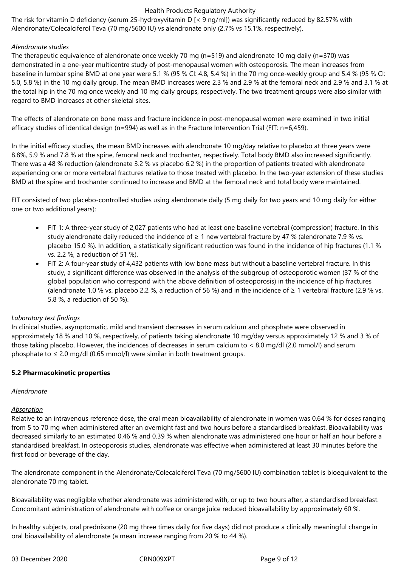The risk for vitamin D deficiency (serum 25-hydroxyvitamin D [< 9 ng/ml]) was significantly reduced by 82.57% with Alendronate/Colecalciferol Teva (70 mg/5600 IU) vs alendronate only (2.7% vs 15.1%, respectively).

## *Alendronate studies*

The therapeutic equivalence of alendronate once weekly 70 mg (n=519) and alendronate 10 mg daily (n=370) was demonstrated in a one-year multicentre study of post-menopausal women with osteoporosis. The mean increases from baseline in lumbar spine BMD at one year were 5.1 % (95 % CI: 4.8, 5.4 %) in the 70 mg once-weekly group and 5.4 % (95 % CI: 5.0, 5.8 %) in the 10 mg daily group. The mean BMD increases were 2.3 % and 2.9 % at the femoral neck and 2.9 % and 3.1 % at the total hip in the 70 mg once weekly and 10 mg daily groups, respectively. The two treatment groups were also similar with regard to BMD increases at other skeletal sites.

The effects of alendronate on bone mass and fracture incidence in post-menopausal women were examined in two initial efficacy studies of identical design (n=994) as well as in the Fracture Intervention Trial (FIT: n=6,459).

In the initial efficacy studies, the mean BMD increases with alendronate 10 mg/day relative to placebo at three years were 8.8%, 5.9 % and 7.8 % at the spine, femoral neck and trochanter, respectively. Total body BMD also increased significantly. There was a 48 % reduction (alendronate 3.2 % vs placebo 6.2 %) in the proportion of patients treated with alendronate experiencing one or more vertebral fractures relative to those treated with placebo. In the two-year extension of these studies BMD at the spine and trochanter continued to increase and BMD at the femoral neck and total body were maintained.

FIT consisted of two placebo-controlled studies using alendronate daily (5 mg daily for two years and 10 mg daily for either one or two additional years):

- FIT 1: A three-year study of 2,027 patients who had at least one baseline vertebral (compression) fracture. In this study alendronate daily reduced the incidence of ≥ 1 new vertebral fracture by 47 % (alendronate 7.9 % vs. placebo 15.0 %). In addition, a statistically significant reduction was found in the incidence of hip fractures (1.1 % vs. 2.2 %, a reduction of 51 %).
- FIT 2: A four-year study of 4,432 patients with low bone mass but without a baseline vertebral fracture. In this study, a significant difference was observed in the analysis of the subgroup of osteoporotic women (37 % of the global population who correspond with the above definition of osteoporosis) in the incidence of hip fractures (alendronate 1.0 % vs. placebo 2.2 %, a reduction of 56 %) and in the incidence of  $\geq 1$  vertebral fracture (2.9 % vs. 5.8 %, a reduction of 50 %).

# *Laboratory test findings*

In clinical studies, asymptomatic, mild and transient decreases in serum calcium and phosphate were observed in approximately 18 % and 10 %, respectively, of patients taking alendronate 10 mg/day versus approximately 12 % and 3 % of those taking placebo. However, the incidences of decreases in serum calcium to < 8.0 mg/dl (2.0 mmol/l) and serum phosphate to  $\leq 2.0$  mg/dl (0.65 mmol/l) were similar in both treatment groups.

#### **5.2 Pharmacokinetic properties**

#### *Alendronate*

#### *Absorption*

Relative to an intravenous reference dose, the oral mean bioavailability of alendronate in women was 0.64 % for doses ranging from 5 to 70 mg when administered after an overnight fast and two hours before a standardised breakfast. Bioavailability was decreased similarly to an estimated 0.46 % and 0.39 % when alendronate was administered one hour or half an hour before a standardised breakfast. In osteoporosis studies, alendronate was effective when administered at least 30 minutes before the first food or beverage of the day.

The alendronate component in the Alendronate/Colecalciferol Teva (70 mg/5600 IU) combination tablet is bioequivalent to the alendronate 70 mg tablet.

Bioavailability was negligible whether alendronate was administered with, or up to two hours after, a standardised breakfast. Concomitant administration of alendronate with coffee or orange juice reduced bioavailability by approximately 60 %.

In healthy subjects, oral prednisone (20 mg three times daily for five days) did not produce a clinically meaningful change in oral bioavailability of alendronate (a mean increase ranging from 20 % to 44 %).

03 December 2020 CRN009XPT Page 9 of 12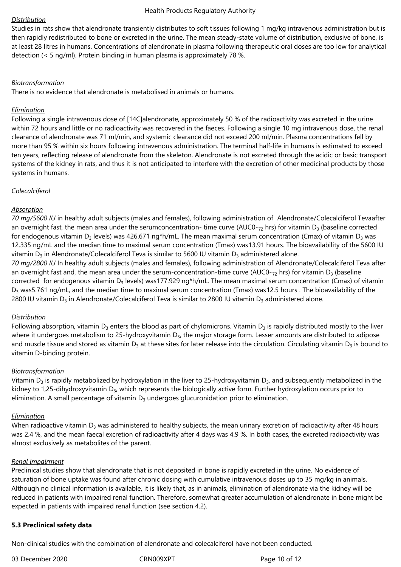## *Distribution*

Studies in rats show that alendronate transiently distributes to soft tissues following 1 mg/kg intravenous administration but is then rapidly redistributed to bone or excreted in the urine. The mean steady-state volume of distribution, exclusive of bone, is at least 28 litres in humans. Concentrations of alendronate in plasma following therapeutic oral doses are too low for analytical detection (< 5 ng/ml). Protein binding in human plasma is approximately 78 %.

## *Biotransformation*

There is no evidence that alendronate is metabolised in animals or humans.

## *Elimination*

Following a single intravenous dose of [14C]alendronate, approximately 50 % of the radioactivity was excreted in the urine within 72 hours and little or no radioactivity was recovered in the faeces. Following a single 10 mg intravenous dose, the renal clearance of alendronate was 71 ml/min, and systemic clearance did not exceed 200 ml/min. Plasma concentrations fell by more than 95 % within six hours following intravenous administration. The terminal half-life in humans is estimated to exceed ten years, reflecting release of alendronate from the skeleton. Alendronate is not excreted through the acidic or basic transport systems of the kidney in rats, and thus it is not anticipated to interfere with the excretion of other medicinal products by those systems in humans.

## *Colecalciferol*

# *Absorption*

*70 mg/5600 IU* in healthy adult subjects (males and females), following administration of Alendronate/Colecalciferol Tevaafter an overnight fast, the mean area under the serumconcentration- time curve (AUC0- $_{72}$  hrs) for vitamin D<sub>3</sub> (baseline corrected for endogenous vitamin D<sub>3</sub> levels) was 426.671 ng\*h/mL. The mean maximal serum concentration (Cmax) of vitamin D<sub>3</sub> was 12.335 ng/mL and the median time to maximal serum concentration (Tmax) was13.91 hours. The bioavailability of the 5600 IU vitamin D<sub>3</sub> in Alendronate/Colecalciferol Teva is similar to 5600 IU vitamin D<sub>3</sub> administered alone.

*70 mg/2800 IU* In healthy adult subjects (males and females), following administration of Alendronate/Colecalciferol Teva after an overnight fast and, the mean area under the serum-concentration-time curve (AUC0- $_{72}$  hrs) for vitamin D<sub>3</sub> (baseline corrected for endogenous vitamin  $D_3$  levels) was177.929 ng\*h/mL. The mean maximal serum concentration (Cmax) of vitamin  $D_3$  was5.761 ng/mL, and the median time to maximal serum concentration (Tmax) was12.5 hours . The bioavailability of the 2800 IU vitamin D<sub>3</sub> in Alendronate/Colecalciferol Teva is similar to 2800 IU vitamin D<sub>3</sub> administered alone.

# *Distribution*

Following absorption, vitamin  $D_3$  enters the blood as part of chylomicrons. Vitamin  $D_3$  is rapidly distributed mostly to the liver where it undergoes metabolism to 25-hydroxyvitamin  $D_3$ , the major storage form. Lesser amounts are distributed to adipose and muscle tissue and stored as vitamin  $D_3$  at these sites for later release into the circulation. Circulating vitamin  $D_3$  is bound to vitamin D-binding protein.

# *Biotransformation*

Vitamin  $D_3$  is rapidly metabolized by hydroxylation in the liver to 25-hydroxyvitamin  $D_3$ , and subsequently metabolized in the kidney to 1,25-dihydroxyvitamin  $D_3$ , which represents the biologically active form. Further hydroxylation occurs prior to elimination. A small percentage of vitamin  $D_3$  undergoes glucuronidation prior to elimination.

# *Elimination*

When radioactive vitamin  $D_3$  was administered to healthy subjects, the mean urinary excretion of radioactivity after 48 hours was 2.4 %, and the mean faecal excretion of radioactivity after 4 days was 4.9 %. In both cases, the excreted radioactivity was almost exclusively as metabolites of the parent.

# *Renal impairment*

Preclinical studies show that alendronate that is not deposited in bone is rapidly excreted in the urine. No evidence of saturation of bone uptake was found after chronic dosing with cumulative intravenous doses up to 35 mg/kg in animals. Although no clinical information is available, it is likely that, as in animals, elimination of alendronate via the kidney will be reduced in patients with impaired renal function. Therefore, somewhat greater accumulation of alendronate in bone might be expected in patients with impaired renal function (see section 4.2).

# **5.3 Preclinical safety data**

Non-clinical studies with the combination of alendronate and colecalciferol have not been conducted.

03 December 2020 CRN009XPT Page 10 of 12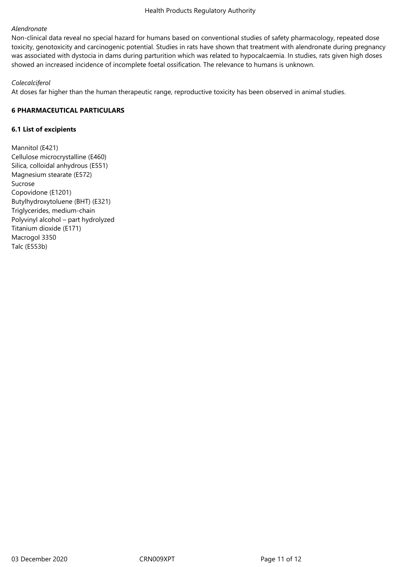## *Alendronate*

Non-clinical data reveal no special hazard for humans based on conventional studies of safety pharmacology, repeated dose toxicity, genotoxicity and carcinogenic potential. Studies in rats have shown that treatment with alendronate during pregnancy was associated with dystocia in dams during parturition which was related to hypocalcaemia. In studies, rats given high doses showed an increased incidence of incomplete foetal ossification. The relevance to humans is unknown.

## *Colecalciferol*

At doses far higher than the human therapeutic range, reproductive toxicity has been observed in animal studies.

## **6 PHARMACEUTICAL PARTICULARS**

## **6.1 List of excipients**

Mannitol (E421) Cellulose microcrystalline (E460) Silica, colloidal anhydrous (E551) Magnesium stearate (E572) Sucrose Copovidone (E1201) Butylhydroxytoluene (BHT) (E321) Triglycerides, medium-chain Polyvinyl alcohol – part hydrolyzed Titanium dioxide (E171) Macrogol 3350 Talc (E553b)